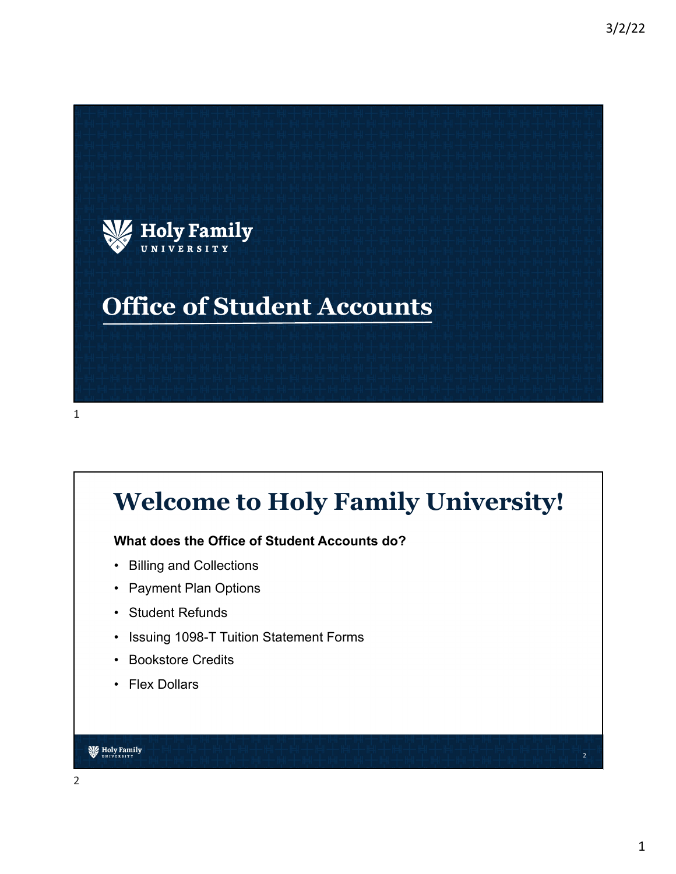

## **Welcome to Holy Family University!**

#### **What does the Office of Student Accounts do?**

- Billing and Collections
- Payment Plan Options
- Student Refunds
- Issuing 1098-T Tuition Statement Forms
- Bookstore Credits
- Flex Dollars

#### **W** Holy Family

2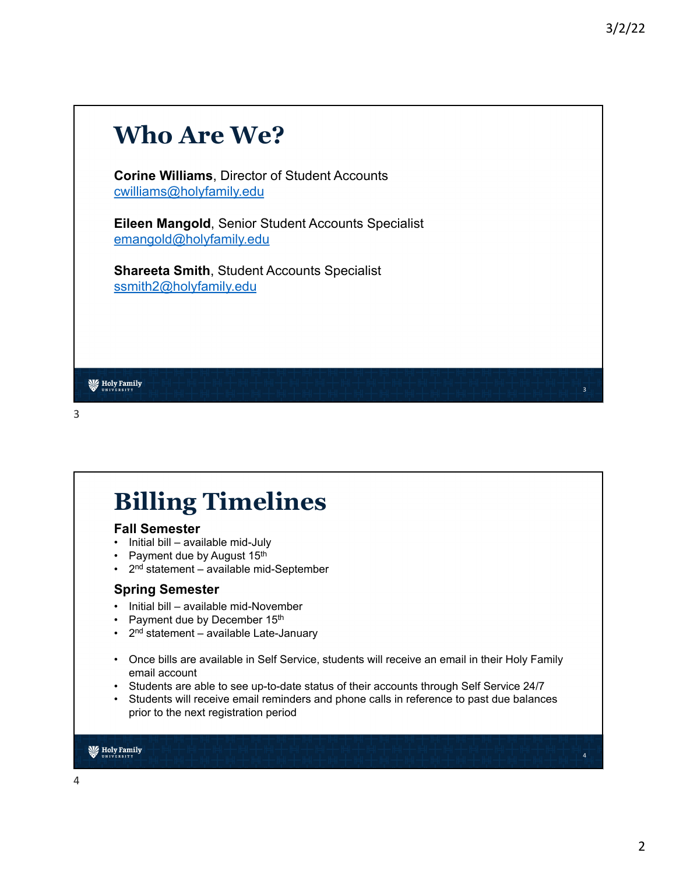# **Who Are We? Corine Williams**, Director of Student Accounts [cwilliams@ho](mailto:cwilliams@holyfamily.edu)lyfamily.edu **Eileen Mangold**, Senior Student Accounts Specialist [emangold@ho](mailto:emangold@holyfamily.edu)lyfamily.edu **Shareeta Smith**, Student Accounts Specialist [ssmith2@ho](mailto:ssmith2@holyfamily.edu)lyfamily.edu **W** Holy Family 3

#### 3

# **Billing Timelines**

#### **Fall Semester**

- Initial bill available mid-July
- Payment due by August 15th
- 2nd statement available mid-September

#### **Spring Semester**

- Initial bill available mid-November
- Payment due by December 15th
- $\cdot$  2<sup>nd</sup> statement available Late-January
- Once bills are available in Self Service, students will receive an email in their Holy Family email account
- Students are able to see up-to-date status of their accounts through Self Service 24/7
- Students will receive email reminders and phone calls in reference to past due balances prior to the next registration period

#### **W** Holy Family

4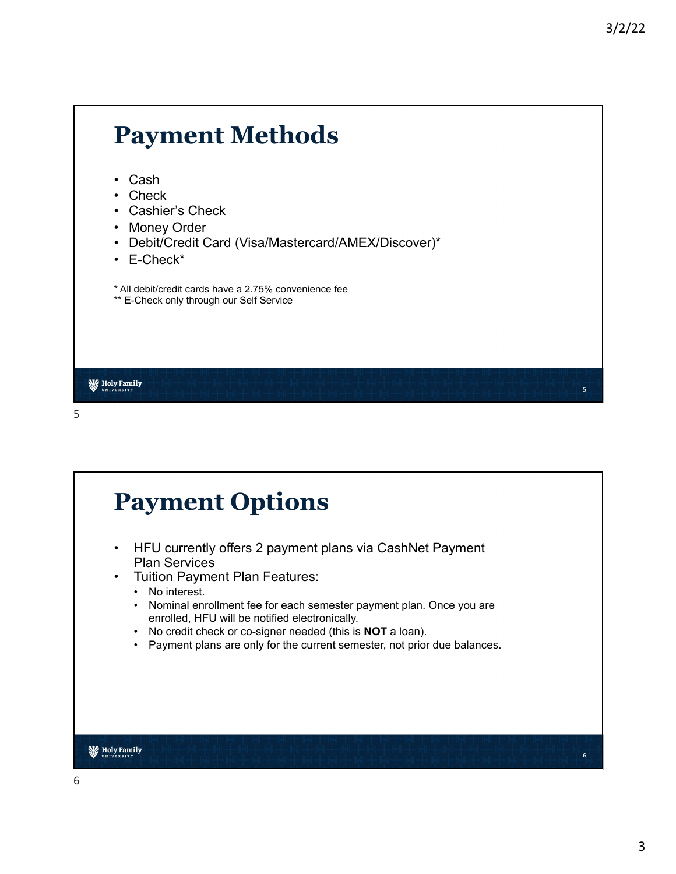5

### **Payment Methods** • Cash • Check • Cashier's Check • Money Order • Debit/Credit Card (Visa/Mastercard/AMEX/Discover)\* • E-Check\* \* All debit/credit cards have a 2.75% convenience fee \*\* E-Check only through our Self Service **W** Holy Family 5

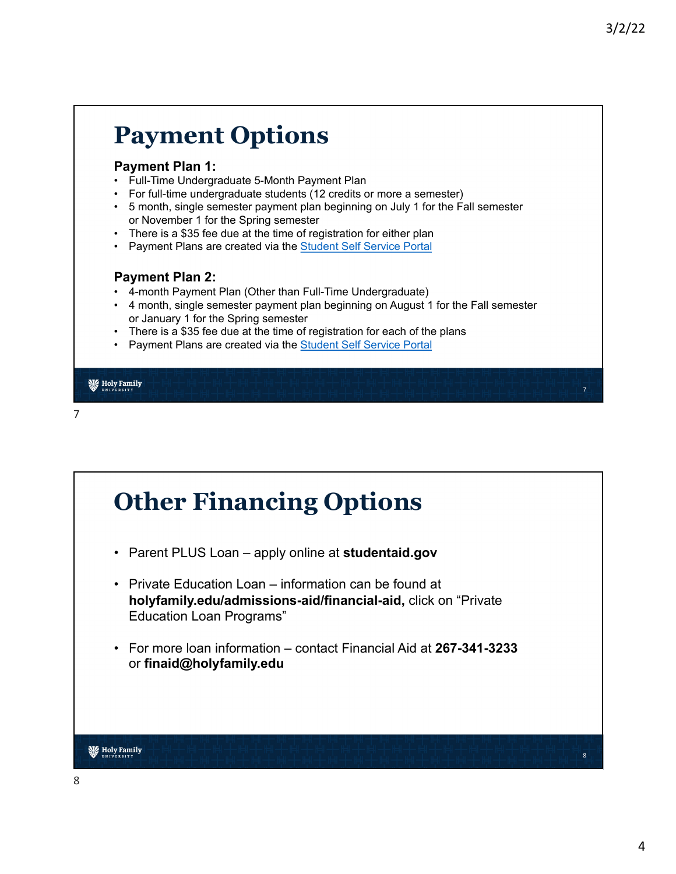7

### **Payment Options**

#### **Payment Plan 1:**

- Full-Time Undergraduate 5-Month Payment Plan
- For full-time undergraduate students (12 credits or more a semester)
- 5 month, single semester payment plan beginning on July 1 for the Fall semester or November 1 for the Spring semester
- There is a \$35 fee due at the time of registration for either plan
- Payment Plans are created via the **Student Self Service Portal**

#### **Payment Plan 2:**

- 4-month Payment Plan (Other than Full-Time Undergraduate)
- 4 month, single semester payment plan beginning on August 1 for the Fall semester or January 1 for the Spring semester
- There is a \$35 fee due at the time of registration for each of the plans
- Payment Plans are created via the **Student Self Service Portal**

#### **W** Holy Family

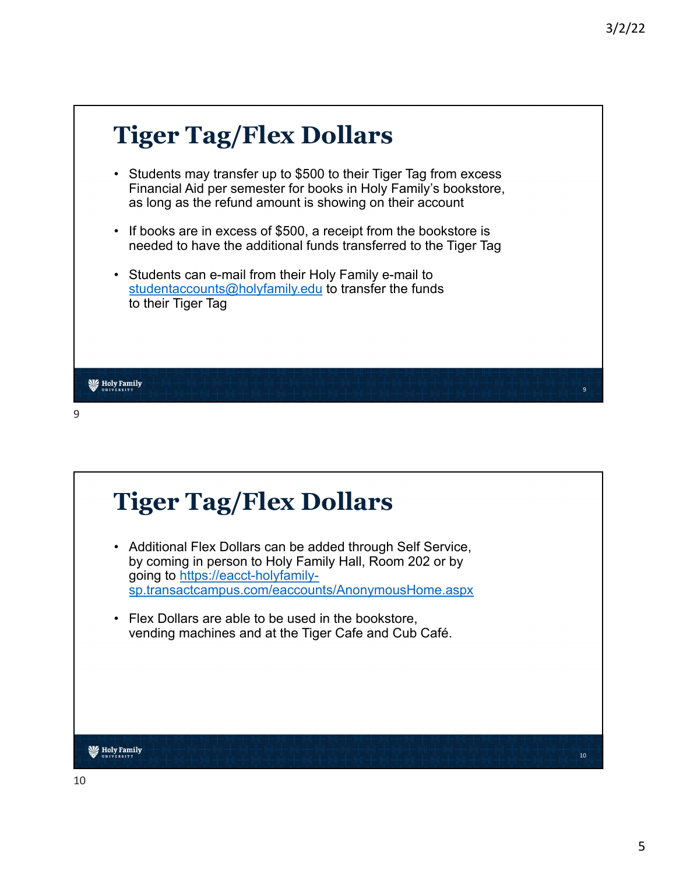